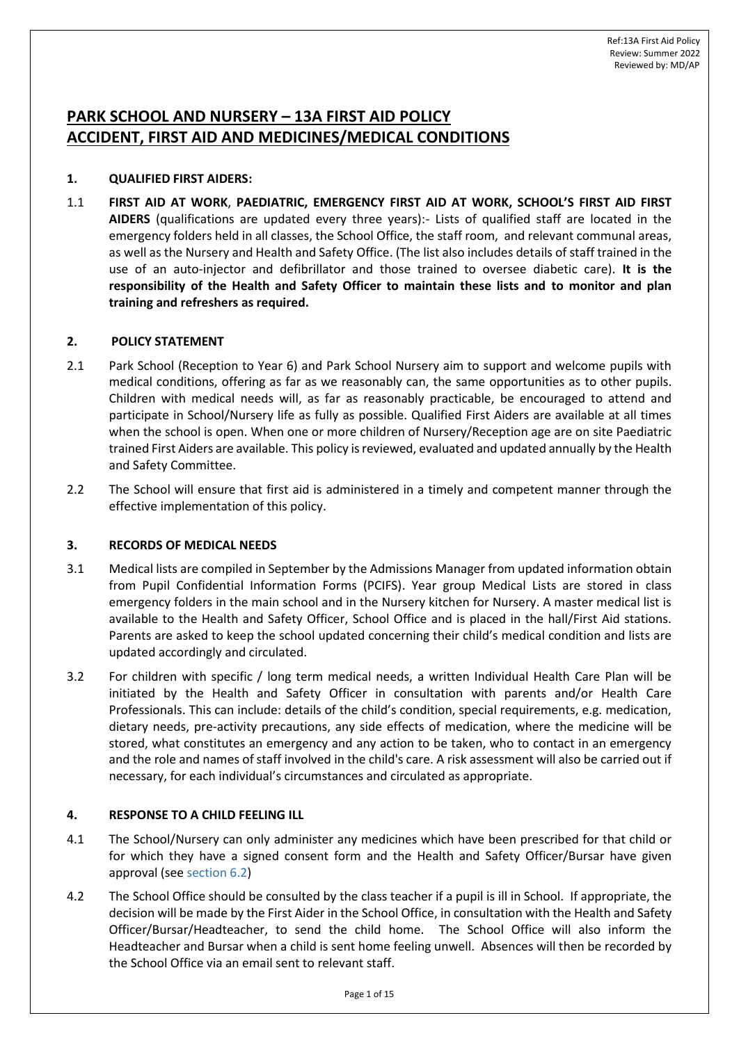# **PARK SCHOOL AND NURSERY – 13A FIRST AID POLICY ACCIDENT, FIRST AID AND MEDICINES/MEDICAL CONDITIONS**

### **1. QUALIFIED FIRST AIDERS:**

1.1 **FIRST AID AT WORK**, **PAEDIATRIC, EMERGENCY FIRST AID AT WORK, SCHOOL'S FIRST AID FIRST AIDERS** (qualifications are updated every three years):- Lists of qualified staff are located in the emergency folders held in all classes, the School Office, the staff room, and relevant communal areas, as well as the Nursery and Health and Safety Office. (The list also includes details of staff trained in the use of an auto-injector and defibrillator and those trained to oversee diabetic care). **It is the responsibility of the Health and Safety Officer to maintain these lists and to monitor and plan training and refreshers as required.**

### **2. POLICY STATEMENT**

- 2.1 Park School (Reception to Year 6) and Park School Nursery aim to support and welcome pupils with medical conditions, offering as far as we reasonably can, the same opportunities as to other pupils. Children with medical needs will, as far as reasonably practicable, be encouraged to attend and participate in School/Nursery life as fully as possible. Qualified First Aiders are available at all times when the school is open. When one or more children of Nursery/Reception age are on site Paediatric trained First Aiders are available. This policy is reviewed, evaluated and updated annually by the Health and Safety Committee.
- 2.2 The School will ensure that first aid is administered in a timely and competent manner through the effective implementation of this policy.

### **3. RECORDS OF MEDICAL NEEDS**

- 3.1 Medical lists are compiled in September by the Admissions Manager from updated information obtain from Pupil Confidential Information Forms (PCIFS). Year group Medical Lists are stored in class emergency folders in the main school and in the Nursery kitchen for Nursery. A master medical list is available to the Health and Safety Officer, School Office and is placed in the hall/First Aid stations. Parents are asked to keep the school updated concerning their child's medical condition and lists are updated accordingly and circulated.
- 3.2 For children with specific / long term medical needs, a written Individual Health Care Plan will be initiated by the Health and Safety Officer in consultation with parents and/or Health Care Professionals. This can include: details of the child's condition, special requirements, e.g. medication, dietary needs, pre-activity precautions, any side effects of medication, where the medicine will be stored, what constitutes an emergency and any action to be taken, who to contact in an emergency and the role and names of staff involved in the child's care. A risk assessment will also be carried out if necessary, for each individual's circumstances and circulated as appropriate.

## **4. RESPONSE TO A CHILD FEELING ILL**

- 4.1 The School/Nursery can only administer any medicines which have been prescribed for that child or for which they have a signed consent form and the Health and Safety Officer/Bursar have given approval (see sectio[n 6.2\)](#page-3-0)
- 4.2 The School Office should be consulted by the class teacher if a pupil is ill in School. If appropriate, the decision will be made by the First Aider in the School Office, in consultation with the Health and Safety Officer/Bursar/Headteacher, to send the child home. The School Office will also inform the Headteacher and Bursar when a child is sent home feeling unwell. Absences will then be recorded by the School Office via an email sent to relevant staff.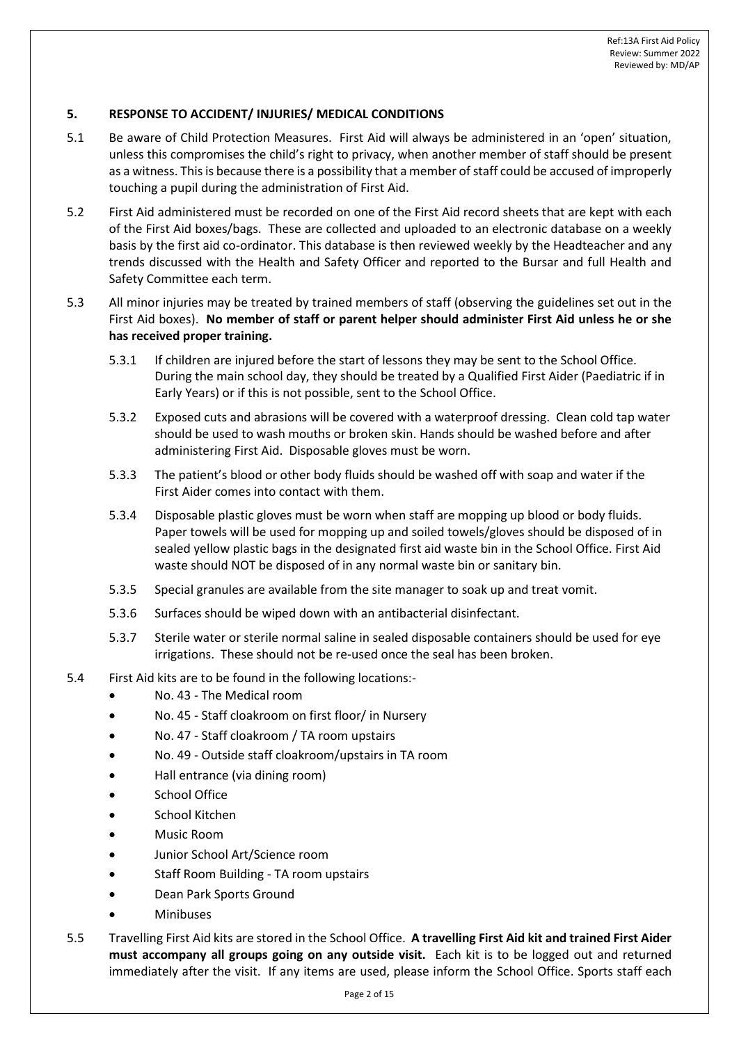### **5. RESPONSE TO ACCIDENT/ INJURIES/ MEDICAL CONDITIONS**

- 5.1 Be aware of Child Protection Measures. First Aid will always be administered in an 'open' situation, unless this compromises the child's right to privacy, when another member of staff should be present as a witness. This is because there is a possibility that a member of staff could be accused of improperly touching a pupil during the administration of First Aid.
- 5.2 First Aid administered must be recorded on one of the First Aid record sheets that are kept with each of the First Aid boxes/bags. These are collected and uploaded to an electronic database on a weekly basis by the first aid co-ordinator. This database is then reviewed weekly by the Headteacher and any trends discussed with the Health and Safety Officer and reported to the Bursar and full Health and Safety Committee each term.
- 5.3 All minor injuries may be treated by trained members of staff (observing the guidelines set out in the First Aid boxes). **No member of staff or parent helper should administer First Aid unless he or she has received proper training.**
	- 5.3.1 If children are injured before the start of lessons they may be sent to the School Office. During the main school day, they should be treated by a Qualified First Aider (Paediatric if in Early Years) or if this is not possible, sent to the School Office.
	- 5.3.2 Exposed cuts and abrasions will be covered with a waterproof dressing. Clean cold tap water should be used to wash mouths or broken skin. Hands should be washed before and after administering First Aid. Disposable gloves must be worn.
	- 5.3.3 The patient's blood or other body fluids should be washed off with soap and water if the First Aider comes into contact with them.
	- 5.3.4 Disposable plastic gloves must be worn when staff are mopping up blood or body fluids. Paper towels will be used for mopping up and soiled towels/gloves should be disposed of in sealed yellow plastic bags in the designated first aid waste bin in the School Office. First Aid waste should NOT be disposed of in any normal waste bin or sanitary bin.
	- 5.3.5 Special granules are available from the site manager to soak up and treat vomit.
	- 5.3.6 Surfaces should be wiped down with an antibacterial disinfectant.
	- 5.3.7 Sterile water or sterile normal saline in sealed disposable containers should be used for eye irrigations. These should not be re-used once the seal has been broken.
- 5.4 First Aid kits are to be found in the following locations:-
	- No. 43 The Medical room
	- No. 45 Staff cloakroom on first floor/ in Nursery
	- No. 47 Staff cloakroom / TA room upstairs
	- No. 49 Outside staff cloakroom/upstairs in TA room
	- Hall entrance (via dining room)
	- School Office
	- School Kitchen
	- Music Room
	- Junior School Art/Science room
	- Staff Room Building TA room upstairs
	- Dean Park Sports Ground
	- **Minibuses**
- 5.5 Travelling First Aid kits are stored in the School Office. **A travelling First Aid kit and trained First Aider must accompany all groups going on any outside visit.** Each kit is to be logged out and returned immediately after the visit. If any items are used, please inform the School Office. Sports staff each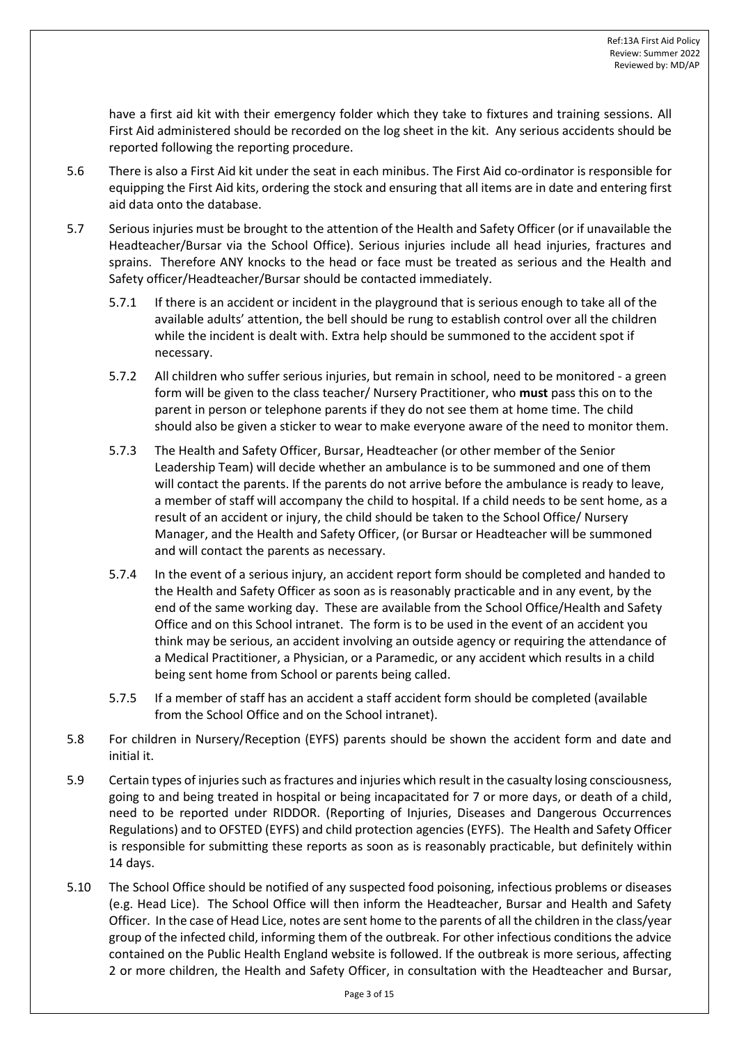have a first aid kit with their emergency folder which they take to fixtures and training sessions. All First Aid administered should be recorded on the log sheet in the kit. Any serious accidents should be reported following the reporting procedure.

- 5.6 There is also a First Aid kit under the seat in each minibus. The First Aid co-ordinator is responsible for equipping the First Aid kits, ordering the stock and ensuring that all items are in date and entering first aid data onto the database.
- 5.7 Serious injuries must be brought to the attention of the Health and Safety Officer (or if unavailable the Headteacher/Bursar via the School Office). Serious injuries include all head injuries, fractures and sprains. Therefore ANY knocks to the head or face must be treated as serious and the Health and Safety officer/Headteacher/Bursar should be contacted immediately.
	- 5.7.1 If there is an accident or incident in the playground that is serious enough to take all of the available adults' attention, the bell should be rung to establish control over all the children while the incident is dealt with. Extra help should be summoned to the accident spot if necessary.
	- 5.7.2 All children who suffer serious injuries, but remain in school, need to be monitored a green form will be given to the class teacher/ Nursery Practitioner, who **must** pass this on to the parent in person or telephone parents if they do not see them at home time. The child should also be given a sticker to wear to make everyone aware of the need to monitor them.
	- 5.7.3 The Health and Safety Officer, Bursar, Headteacher (or other member of the Senior Leadership Team) will decide whether an ambulance is to be summoned and one of them will contact the parents. If the parents do not arrive before the ambulance is ready to leave, a member of staff will accompany the child to hospital. If a child needs to be sent home, as a result of an accident or injury, the child should be taken to the School Office/ Nursery Manager, and the Health and Safety Officer, (or Bursar or Headteacher will be summoned and will contact the parents as necessary.
	- 5.7.4 In the event of a serious injury, an accident report form should be completed and handed to the Health and Safety Officer as soon as is reasonably practicable and in any event, by the end of the same working day. These are available from the School Office/Health and Safety Office and on this School intranet. The form is to be used in the event of an accident you think may be serious, an accident involving an outside agency or requiring the attendance of a Medical Practitioner, a Physician, or a Paramedic, or any accident which results in a child being sent home from School or parents being called.
	- 5.7.5 If a member of staff has an accident a staff accident form should be completed (available from the School Office and on the School intranet).
- 5.8 For children in Nursery/Reception (EYFS) parents should be shown the accident form and date and initial it.
- 5.9 Certain types of injuries such as fractures and injuries which result in the casualty losing consciousness, going to and being treated in hospital or being incapacitated for 7 or more days, or death of a child, need to be reported under RIDDOR. (Reporting of Injuries, Diseases and Dangerous Occurrences Regulations) and to OFSTED (EYFS) and child protection agencies (EYFS). The Health and Safety Officer is responsible for submitting these reports as soon as is reasonably practicable, but definitely within 14 days.
- 5.10 The School Office should be notified of any suspected food poisoning, infectious problems or diseases (e.g. Head Lice). The School Office will then inform the Headteacher, Bursar and Health and Safety Officer. In the case of Head Lice, notes are sent home to the parents of all the children in the class/year group of the infected child, informing them of the outbreak. For other infectious conditions the advice contained on the Public Health England website is followed. If the outbreak is more serious, affecting 2 or more children, the Health and Safety Officer, in consultation with the Headteacher and Bursar,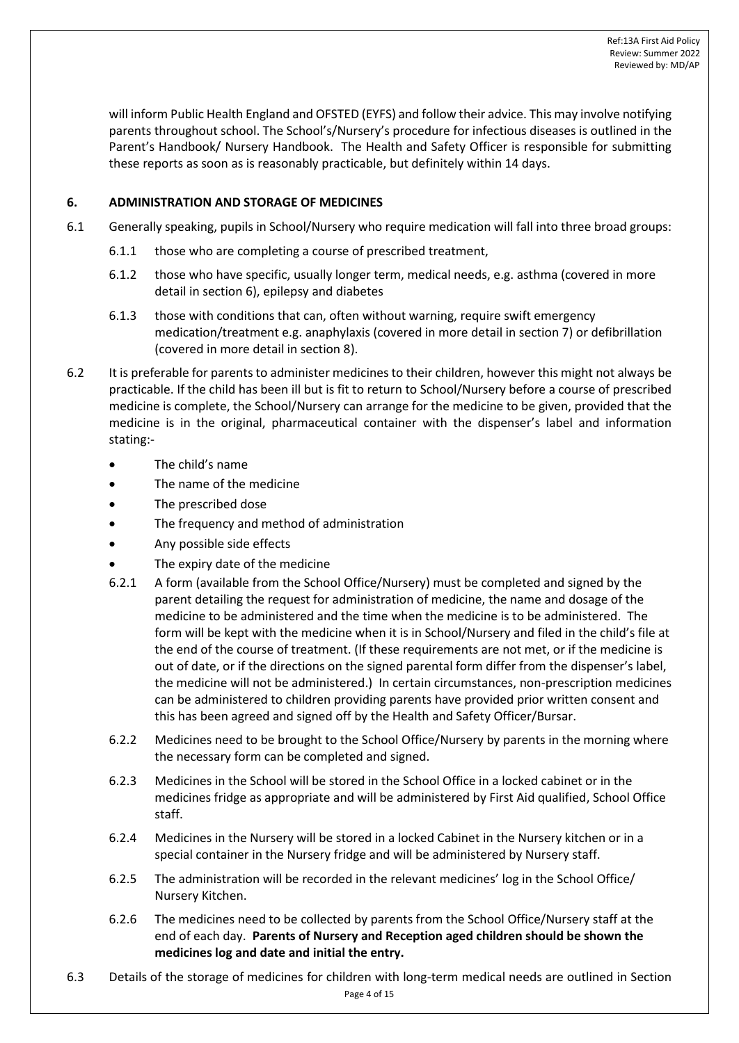will inform Public Health England and OFSTED (EYFS) and follow their advice. This may involve notifying parents throughout school. The School's/Nursery's procedure for infectious diseases is outlined in the Parent's Handbook/ Nursery Handbook. The Health and Safety Officer is responsible for submitting these reports as soon as is reasonably practicable, but definitely within 14 days.

# **6. ADMINISTRATION AND STORAGE OF MEDICINES**

- 6.1 Generally speaking, pupils in School/Nursery who require medication will fall into three broad groups:
	- 6.1.1 those who are completing a course of prescribed treatment,
	- 6.1.2 those who have specific, usually longer term, medical needs, e.g. asthma (covered in more detail in section 6), epilepsy and diabetes
	- 6.1.3 those with conditions that can, often without warning, require swift emergency medication/treatment e.g. anaphylaxis (covered in more detail in section 7) or defibrillation (covered in more detail in section 8).
- <span id="page-3-0"></span>6.2 It is preferable for parents to administer medicines to their children, however this might not always be practicable. If the child has been ill but is fit to return to School/Nursery before a course of prescribed medicine is complete, the School/Nursery can arrange for the medicine to be given, provided that the medicine is in the original, pharmaceutical container with the dispenser's label and information stating:-
	- The child's name
	- The name of the medicine
	- The prescribed dose
	- The frequency and method of administration
	- Any possible side effects
	- The expiry date of the medicine
	- 6.2.1 A form (available from the School Office/Nursery) must be completed and signed by the parent detailing the request for administration of medicine, the name and dosage of the medicine to be administered and the time when the medicine is to be administered. The form will be kept with the medicine when it is in School/Nursery and filed in the child's file at the end of the course of treatment. (If these requirements are not met, or if the medicine is out of date, or if the directions on the signed parental form differ from the dispenser's label, the medicine will not be administered.) In certain circumstances, non-prescription medicines can be administered to children providing parents have provided prior written consent and this has been agreed and signed off by the Health and Safety Officer/Bursar.
	- 6.2.2 Medicines need to be brought to the School Office/Nursery by parents in the morning where the necessary form can be completed and signed.
	- 6.2.3 Medicines in the School will be stored in the School Office in a locked cabinet or in the medicines fridge as appropriate and will be administered by First Aid qualified, School Office staff.
	- 6.2.4 Medicines in the Nursery will be stored in a locked Cabinet in the Nursery kitchen or in a special container in the Nursery fridge and will be administered by Nursery staff.
	- 6.2.5 The administration will be recorded in the relevant medicines' log in the School Office/ Nursery Kitchen.
	- 6.2.6 The medicines need to be collected by parents from the School Office/Nursery staff at the end of each day. **Parents of Nursery and Reception aged children should be shown the medicines log and date and initial the entry.**
- Page 4 of 15 6.3 Details of the storage of medicines for children with long-term medical needs are outlined in Section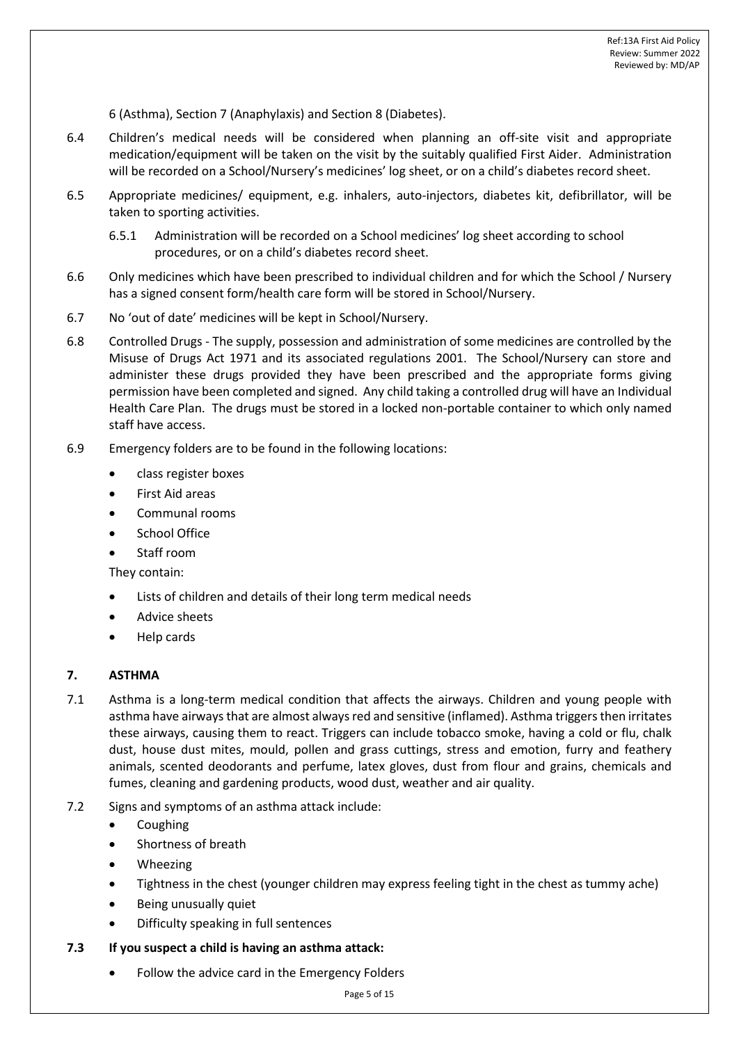6 (Asthma), Section 7 (Anaphylaxis) and Section 8 (Diabetes).

- 6.4 Children's medical needs will be considered when planning an off-site visit and appropriate medication/equipment will be taken on the visit by the suitably qualified First Aider. Administration will be recorded on a School/Nursery's medicines' log sheet, or on a child's diabetes record sheet.
- 6.5 Appropriate medicines/ equipment, e.g. inhalers, auto-injectors, diabetes kit, defibrillator, will be taken to sporting activities.
	- 6.5.1 Administration will be recorded on a School medicines' log sheet according to school procedures, or on a child's diabetes record sheet.
- 6.6 Only medicines which have been prescribed to individual children and for which the School / Nursery has a signed consent form/health care form will be stored in School/Nursery.
- 6.7 No 'out of date' medicines will be kept in School/Nursery.
- 6.8 Controlled Drugs The supply, possession and administration of some medicines are controlled by the Misuse of Drugs Act 1971 and its associated regulations 2001. The School/Nursery can store and administer these drugs provided they have been prescribed and the appropriate forms giving permission have been completed and signed. Any child taking a controlled drug will have an Individual Health Care Plan. The drugs must be stored in a locked non-portable container to which only named staff have access.
- 6.9 Emergency folders are to be found in the following locations:
	- class register boxes
	- First Aid areas
	- Communal rooms
	- School Office
	- Staff room

They contain:

- Lists of children and details of their long term medical needs
- Advice sheets
- Help cards

### **7. ASTHMA**

- 7.1 Asthma is a long-term medical condition that affects the airways. Children and young people with asthma have airways that are almost always red and sensitive (inflamed). Asthma triggers then irritates these airways, causing them to react. Triggers can include tobacco smoke, having a cold or flu, chalk dust, house dust mites, mould, pollen and grass cuttings, stress and emotion, furry and feathery animals, scented deodorants and perfume, latex gloves, dust from flour and grains, chemicals and fumes, cleaning and gardening products, wood dust, weather and air quality.
- 7.2 Signs and symptoms of an asthma attack include:
	- Coughing
	- Shortness of breath
	- Wheezing
	- Tightness in the chest (younger children may express feeling tight in the chest as tummy ache)
	- Being unusually quiet
	- Difficulty speaking in full sentences

### **7.3 If you suspect a child is having an asthma attack:**

• Follow the advice card in the Emergency Folders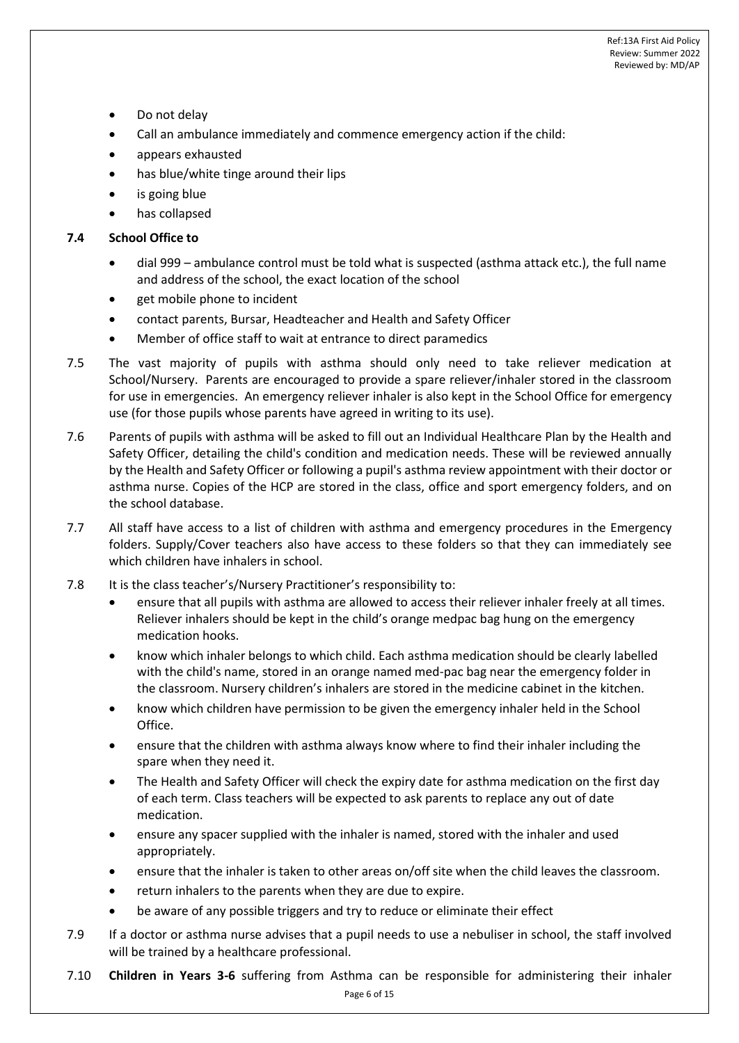- Do not delay
- Call an ambulance immediately and commence emergency action if the child:
- appears exhausted
- has blue/white tinge around their lips
- is going blue
- has collapsed

## **7.4 School Office to**

- dial 999 ambulance control must be told what is suspected (asthma attack etc.), the full name and address of the school, the exact location of the school
- get mobile phone to incident
- contact parents, Bursar, Headteacher and Health and Safety Officer
- Member of office staff to wait at entrance to direct paramedics
- 7.5 The vast majority of pupils with asthma should only need to take reliever medication at School/Nursery. Parents are encouraged to provide a spare reliever/inhaler stored in the classroom for use in emergencies. An emergency reliever inhaler is also kept in the School Office for emergency use (for those pupils whose parents have agreed in writing to its use).
- 7.6 Parents of pupils with asthma will be asked to fill out an Individual Healthcare Plan by the Health and Safety Officer, detailing the child's condition and medication needs. These will be reviewed annually by the Health and Safety Officer or following a pupil's asthma review appointment with their doctor or asthma nurse. Copies of the HCP are stored in the class, office and sport emergency folders, and on the school database.
- 7.7 All staff have access to a list of children with asthma and emergency procedures in the Emergency folders. Supply/Cover teachers also have access to these folders so that they can immediately see which children have inhalers in school.
- 7.8 It is the class teacher's/Nursery Practitioner's responsibility to:
	- ensure that all pupils with asthma are allowed to access their reliever inhaler freely at all times. Reliever inhalers should be kept in the child's orange medpac bag hung on the emergency medication hooks.
	- know which inhaler belongs to which child. Each asthma medication should be clearly labelled with the child's name, stored in an orange named med-pac bag near the emergency folder in the classroom. Nursery children's inhalers are stored in the medicine cabinet in the kitchen.
	- know which children have permission to be given the emergency inhaler held in the School Office.
	- ensure that the children with asthma always know where to find their inhaler including the spare when they need it.
	- The Health and Safety Officer will check the expiry date for asthma medication on the first day of each term. Class teachers will be expected to ask parents to replace any out of date medication.
	- ensure any spacer supplied with the inhaler is named, stored with the inhaler and used appropriately.
	- ensure that the inhaler is taken to other areas on/off site when the child leaves the classroom.
	- return inhalers to the parents when they are due to expire.
	- be aware of any possible triggers and try to reduce or eliminate their effect
- 7.9 If a doctor or asthma nurse advises that a pupil needs to use a nebuliser in school, the staff involved will be trained by a healthcare professional.
- Page 6 of 15 7.10 **Children in Years 3-6** suffering from Asthma can be responsible for administering their inhaler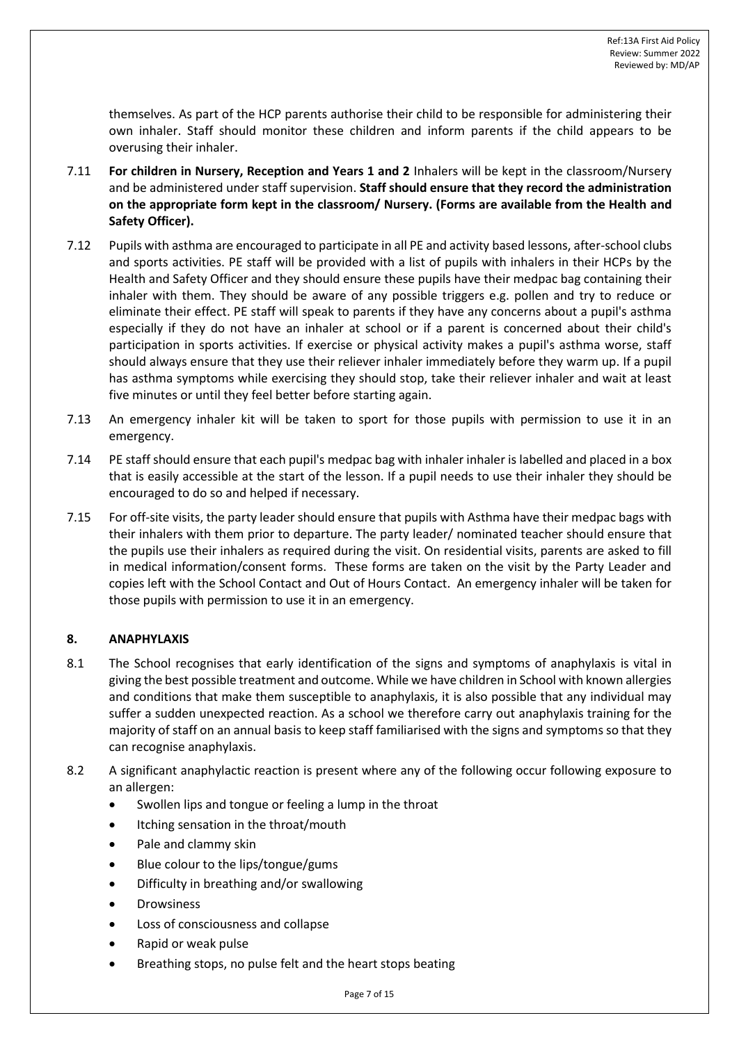themselves. As part of the HCP parents authorise their child to be responsible for administering their own inhaler. Staff should monitor these children and inform parents if the child appears to be overusing their inhaler.

- 7.11 **For children in Nursery, Reception and Years 1 and 2** Inhalers will be kept in the classroom/Nursery and be administered under staff supervision. **Staff should ensure that they record the administration on the appropriate form kept in the classroom/ Nursery. (Forms are available from the Health and Safety Officer).**
- 7.12 Pupils with asthma are encouraged to participate in all PE and activity based lessons, after-school clubs and sports activities. PE staff will be provided with a list of pupils with inhalers in their HCPs by the Health and Safety Officer and they should ensure these pupils have their medpac bag containing their inhaler with them. They should be aware of any possible triggers e.g. pollen and try to reduce or eliminate their effect. PE staff will speak to parents if they have any concerns about a pupil's asthma especially if they do not have an inhaler at school or if a parent is concerned about their child's participation in sports activities. If exercise or physical activity makes a pupil's asthma worse, staff should always ensure that they use their reliever inhaler immediately before they warm up. If a pupil has asthma symptoms while exercising they should stop, take their reliever inhaler and wait at least five minutes or until they feel better before starting again.
- 7.13 An emergency inhaler kit will be taken to sport for those pupils with permission to use it in an emergency.
- 7.14 PE staff should ensure that each pupil's medpac bag with inhaler inhaler is labelled and placed in a box that is easily accessible at the start of the lesson. If a pupil needs to use their inhaler they should be encouraged to do so and helped if necessary.
- 7.15 For off-site visits, the party leader should ensure that pupils with Asthma have their medpac bags with their inhalers with them prior to departure. The party leader/ nominated teacher should ensure that the pupils use their inhalers as required during the visit. On residential visits, parents are asked to fill in medical information/consent forms. These forms are taken on the visit by the Party Leader and copies left with the School Contact and Out of Hours Contact. An emergency inhaler will be taken for those pupils with permission to use it in an emergency.

## **8. ANAPHYLAXIS**

- 8.1 The School recognises that early identification of the signs and symptoms of anaphylaxis is vital in giving the best possible treatment and outcome. While we have children in School with known allergies and conditions that make them susceptible to anaphylaxis, it is also possible that any individual may suffer a sudden unexpected reaction. As a school we therefore carry out anaphylaxis training for the majority of staff on an annual basis to keep staff familiarised with the signs and symptoms so that they can recognise anaphylaxis.
- 8.2 A significant anaphylactic reaction is present where any of the following occur following exposure to an allergen:
	- Swollen lips and tongue or feeling a lump in the throat
	- Itching sensation in the throat/mouth
	- Pale and clammy skin
	- Blue colour to the lips/tongue/gums
	- Difficulty in breathing and/or swallowing
	- **Drowsiness**
	- Loss of consciousness and collapse
	- Rapid or weak pulse
	- Breathing stops, no pulse felt and the heart stops beating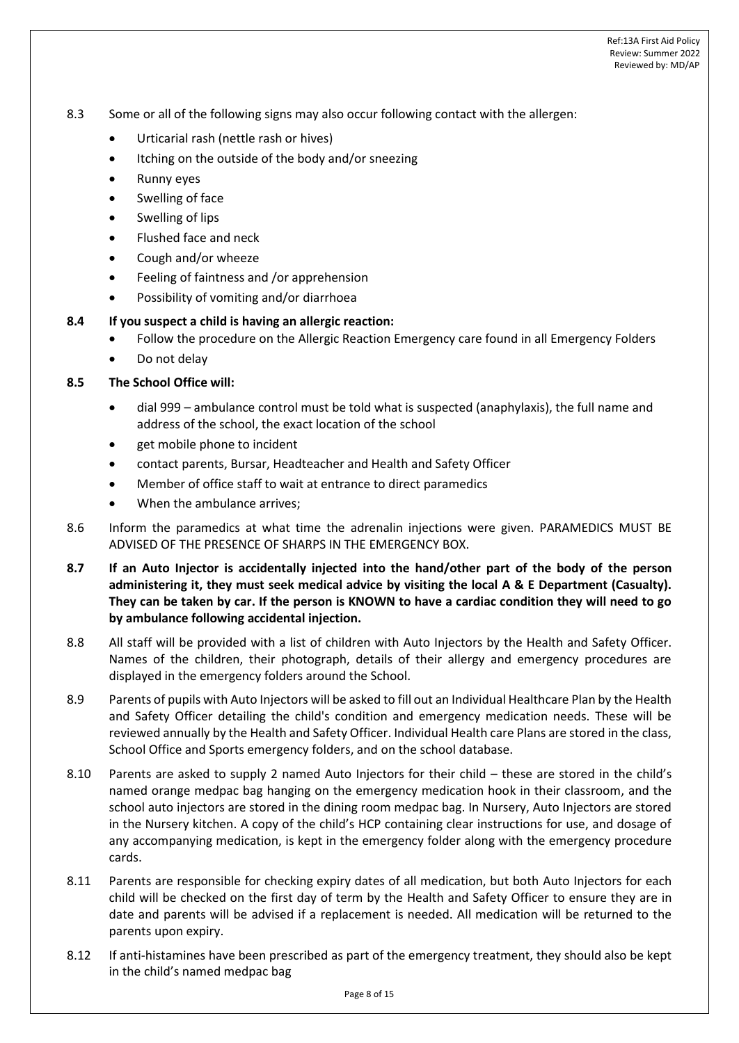- 8.3 Some or all of the following signs may also occur following contact with the allergen:
	- Urticarial rash (nettle rash or hives)
	- Itching on the outside of the body and/or sneezing
	- Runny eyes
	- Swelling of face
	- Swelling of lips
	- Flushed face and neck
	- Cough and/or wheeze
	- Feeling of faintness and /or apprehension
	- Possibility of vomiting and/or diarrhoea

### **8.4 If you suspect a child is having an allergic reaction:**

- Follow the procedure on the Allergic Reaction Emergency care found in all Emergency Folders
- Do not delay

### **8.5 The School Office will:**

- dial 999 ambulance control must be told what is suspected (anaphylaxis), the full name and address of the school, the exact location of the school
- get mobile phone to incident
- contact parents, Bursar, Headteacher and Health and Safety Officer
- Member of office staff to wait at entrance to direct paramedics
- When the ambulance arrives;
- 8.6 Inform the paramedics at what time the adrenalin injections were given. PARAMEDICS MUST BE ADVISED OF THE PRESENCE OF SHARPS IN THE EMERGENCY BOX.
- **8.7 If an Auto Injector is accidentally injected into the hand/other part of the body of the person administering it, they must seek medical advice by visiting the local A & E Department (Casualty). They can be taken by car. If the person is KNOWN to have a cardiac condition they will need to go by ambulance following accidental injection.**
- 8.8 All staff will be provided with a list of children with Auto Injectors by the Health and Safety Officer. Names of the children, their photograph, details of their allergy and emergency procedures are displayed in the emergency folders around the School.
- 8.9 Parents of pupils with Auto Injectors will be asked to fill out an Individual Healthcare Plan by the Health and Safety Officer detailing the child's condition and emergency medication needs. These will be reviewed annually by the Health and Safety Officer. Individual Health care Plans are stored in the class, School Office and Sports emergency folders, and on the school database.
- 8.10 Parents are asked to supply 2 named Auto Injectors for their child these are stored in the child's named orange medpac bag hanging on the emergency medication hook in their classroom, and the school auto injectors are stored in the dining room medpac bag. In Nursery, Auto Injectors are stored in the Nursery kitchen. A copy of the child's HCP containing clear instructions for use, and dosage of any accompanying medication, is kept in the emergency folder along with the emergency procedure cards.
- 8.11 Parents are responsible for checking expiry dates of all medication, but both Auto Injectors for each child will be checked on the first day of term by the Health and Safety Officer to ensure they are in date and parents will be advised if a replacement is needed. All medication will be returned to the parents upon expiry.
- 8.12 If anti-histamines have been prescribed as part of the emergency treatment, they should also be kept in the child's named medpac bag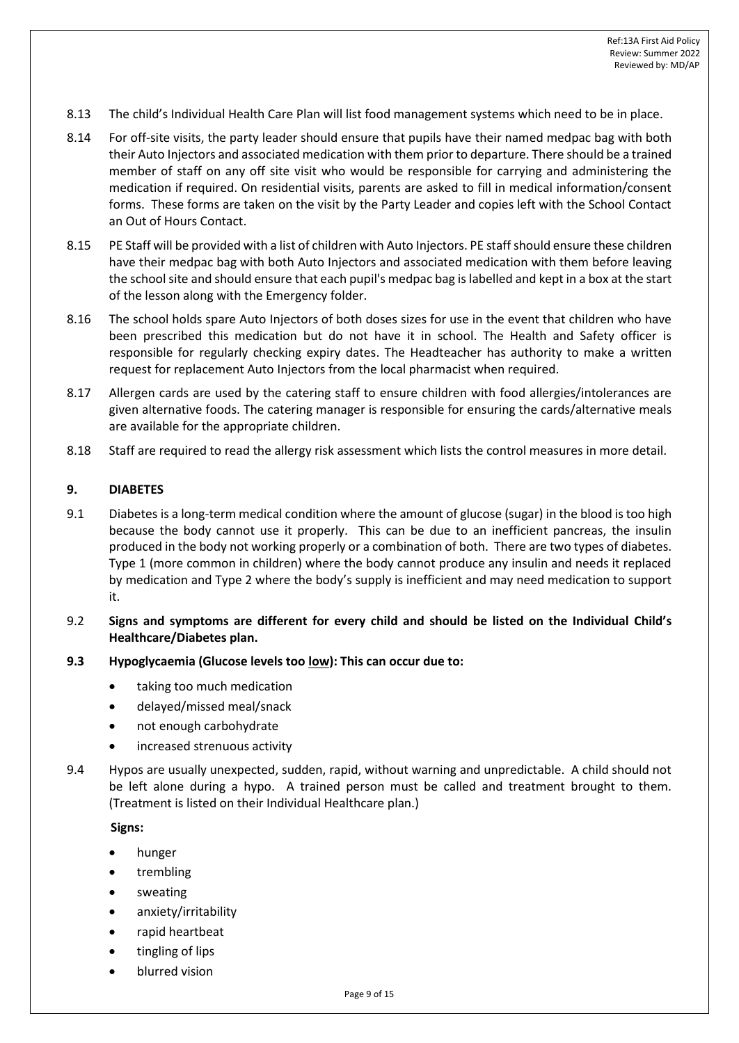- 8.13 The child's Individual Health Care Plan will list food management systems which need to be in place.
- 8.14 For off-site visits, the party leader should ensure that pupils have their named medpac bag with both their Auto Injectors and associated medication with them prior to departure. There should be a trained member of staff on any off site visit who would be responsible for carrying and administering the medication if required. On residential visits, parents are asked to fill in medical information/consent forms. These forms are taken on the visit by the Party Leader and copies left with the School Contact an Out of Hours Contact.
- 8.15 PE Staff will be provided with a list of children with Auto Injectors. PE staff should ensure these children have their medpac bag with both Auto Injectors and associated medication with them before leaving the school site and should ensure that each pupil's medpac bag islabelled and kept in a box at the start of the lesson along with the Emergency folder.
- 8.16 The school holds spare Auto Injectors of both doses sizes for use in the event that children who have been prescribed this medication but do not have it in school. The Health and Safety officer is responsible for regularly checking expiry dates. The Headteacher has authority to make a written request for replacement Auto Injectors from the local pharmacist when required.
- 8.17 Allergen cards are used by the catering staff to ensure children with food allergies/intolerances are given alternative foods. The catering manager is responsible for ensuring the cards/alternative meals are available for the appropriate children.
- 8.18 Staff are required to read the allergy risk assessment which lists the control measures in more detail.

### **9. DIABETES**

- 9.1 Diabetes is a long-term medical condition where the amount of glucose (sugar) in the blood is too high because the body cannot use it properly. This can be due to an inefficient pancreas, the insulin produced in the body not working properly or a combination of both. There are two types of diabetes. Type 1 (more common in children) where the body cannot produce any insulin and needs it replaced by medication and Type 2 where the body's supply is inefficient and may need medication to support it.
- 9.2 **Signs and symptoms are different for every child and should be listed on the Individual Child's Healthcare/Diabetes plan.**
- **9.3 Hypoglycaemia (Glucose levels too low): This can occur due to:**
	- taking too much medication
	- delayed/missed meal/snack
	- not enough carbohydrate
	- increased strenuous activity
- 9.4 Hypos are usually unexpected, sudden, rapid, without warning and unpredictable. A child should not be left alone during a hypo. A trained person must be called and treatment brought to them. (Treatment is listed on their Individual Healthcare plan.)

**Signs:**

- hunger
- trembling
- sweating
- anxiety/irritability
- rapid heartbeat
- tingling of lips
- blurred vision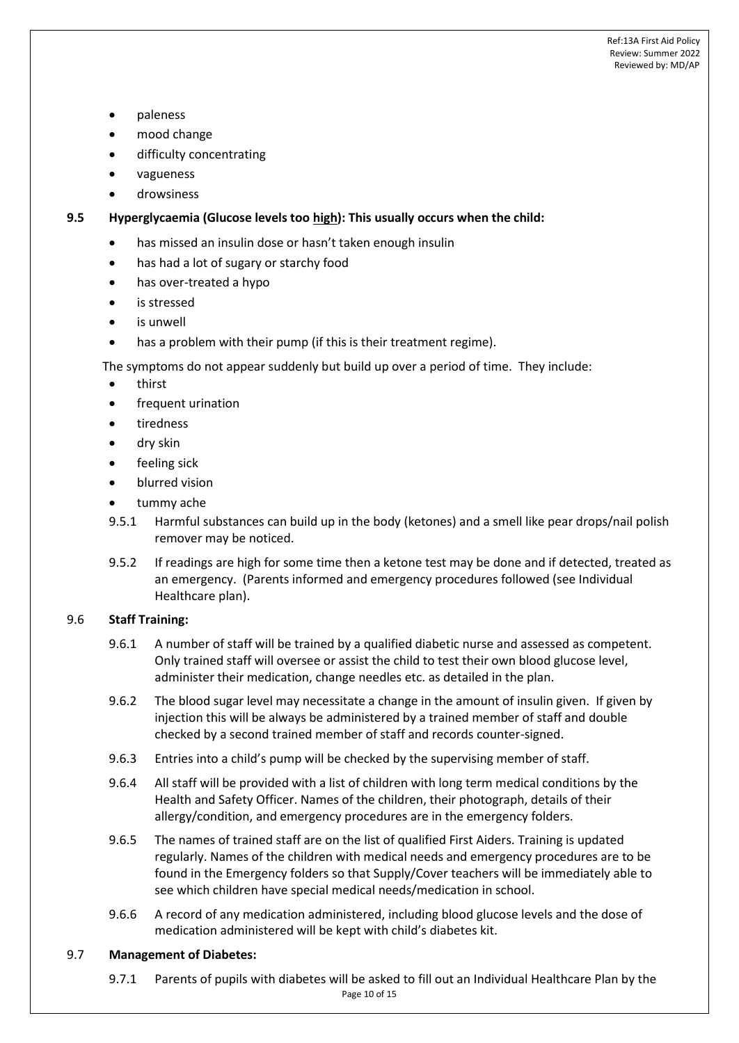- paleness
- mood change
- difficulty concentrating
- vagueness
- drowsiness

**9.5 Hyperglycaemia (Glucose levels too high): This usually occurs when the child:**

- has missed an insulin dose or hasn't taken enough insulin
- has had a lot of sugary or starchy food
- has over-treated a hypo
- is stressed
- is unwell
- has a problem with their pump (if this is their treatment regime).

The symptoms do not appear suddenly but build up over a period of time. They include:

- thirst
- frequent urination
- tiredness
- dry skin
- feeling sick
- blurred vision
- tummy ache
- 9.5.1 Harmful substances can build up in the body (ketones) and a smell like pear drops/nail polish remover may be noticed.
- 9.5.2 If readings are high for some time then a ketone test may be done and if detected, treated as an emergency. (Parents informed and emergency procedures followed (see Individual Healthcare plan).

## 9.6 **Staff Training:**

- 9.6.1 A number of staff will be trained by a qualified diabetic nurse and assessed as competent. Only trained staff will oversee or assist the child to test their own blood glucose level, administer their medication, change needles etc. as detailed in the plan.
- 9.6.2 The blood sugar level may necessitate a change in the amount of insulin given. If given by injection this will be always be administered by a trained member of staff and double checked by a second trained member of staff and records counter-signed.
- 9.6.3 Entries into a child's pump will be checked by the supervising member of staff.
- 9.6.4 All staff will be provided with a list of children with long term medical conditions by the Health and Safety Officer. Names of the children, their photograph, details of their allergy/condition, and emergency procedures are in the emergency folders.
- 9.6.5 The names of trained staff are on the list of qualified First Aiders. Training is updated regularly. Names of the children with medical needs and emergency procedures are to be found in the Emergency folders so that Supply/Cover teachers will be immediately able to see which children have special medical needs/medication in school.
- 9.6.6 A record of any medication administered, including blood glucose levels and the dose of medication administered will be kept with child's diabetes kit.

### 9.7 **Management of Diabetes:**

Page 10 of 15 9.7.1 Parents of pupils with diabetes will be asked to fill out an Individual Healthcare Plan by the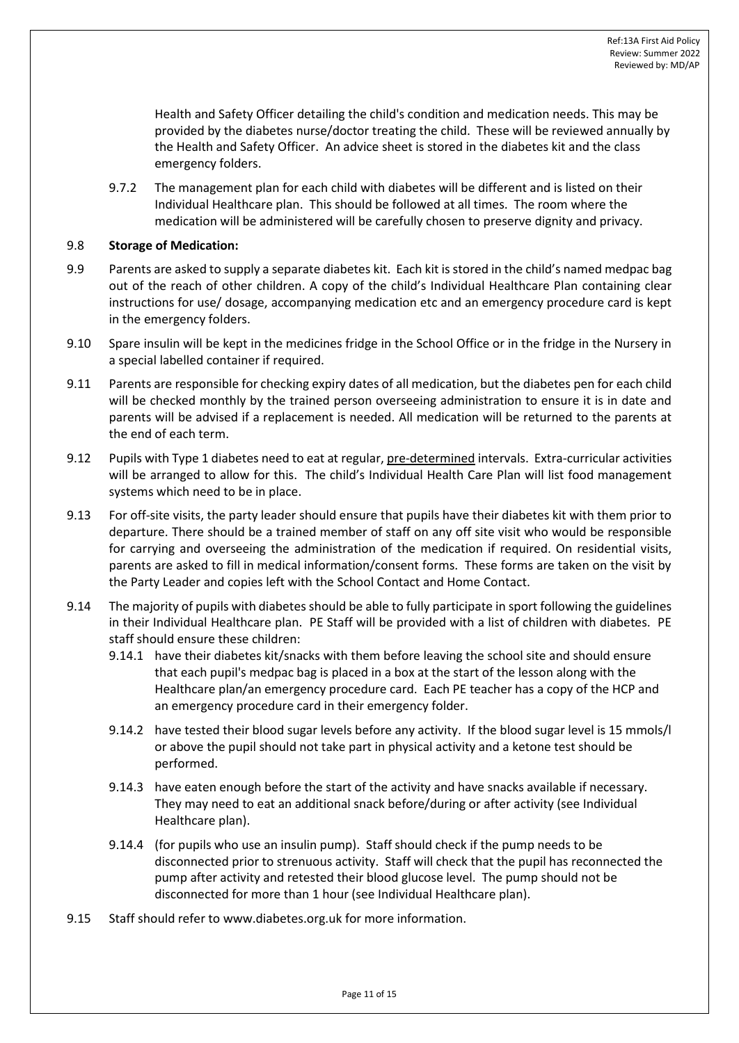Health and Safety Officer detailing the child's condition and medication needs. This may be provided by the diabetes nurse/doctor treating the child. These will be reviewed annually by the Health and Safety Officer. An advice sheet is stored in the diabetes kit and the class emergency folders.

9.7.2 The management plan for each child with diabetes will be different and is listed on their Individual Healthcare plan. This should be followed at all times. The room where the medication will be administered will be carefully chosen to preserve dignity and privacy.

### 9.8 **Storage of Medication:**

- 9.9 Parents are asked to supply a separate diabetes kit. Each kit is stored in the child's named medpac bag out of the reach of other children. A copy of the child's Individual Healthcare Plan containing clear instructions for use/ dosage, accompanying medication etc and an emergency procedure card is kept in the emergency folders.
- 9.10 Spare insulin will be kept in the medicines fridge in the School Office or in the fridge in the Nursery in a special labelled container if required.
- 9.11 Parents are responsible for checking expiry dates of all medication, but the diabetes pen for each child will be checked monthly by the trained person overseeing administration to ensure it is in date and parents will be advised if a replacement is needed. All medication will be returned to the parents at the end of each term.
- 9.12 Pupils with Type 1 diabetes need to eat at regular, pre-determined intervals. Extra-curricular activities will be arranged to allow for this. The child's Individual Health Care Plan will list food management systems which need to be in place.
- 9.13 For off-site visits, the party leader should ensure that pupils have their diabetes kit with them prior to departure. There should be a trained member of staff on any off site visit who would be responsible for carrying and overseeing the administration of the medication if required. On residential visits, parents are asked to fill in medical information/consent forms. These forms are taken on the visit by the Party Leader and copies left with the School Contact and Home Contact.
- 9.14 The majority of pupils with diabetes should be able to fully participate in sport following the guidelines in their Individual Healthcare plan. PE Staff will be provided with a list of children with diabetes. PE staff should ensure these children:
	- 9.14.1 have their diabetes kit/snacks with them before leaving the school site and should ensure that each pupil's medpac bag is placed in a box at the start of the lesson along with the Healthcare plan/an emergency procedure card. Each PE teacher has a copy of the HCP and an emergency procedure card in their emergency folder.
	- 9.14.2 have tested their blood sugar levels before any activity. If the blood sugar level is 15 mmols/l or above the pupil should not take part in physical activity and a ketone test should be performed.
	- 9.14.3 have eaten enough before the start of the activity and have snacks available if necessary. They may need to eat an additional snack before/during or after activity (see Individual Healthcare plan).
	- 9.14.4 (for pupils who use an insulin pump). Staff should check if the pump needs to be disconnected prior to strenuous activity. Staff will check that the pupil has reconnected the pump after activity and retested their blood glucose level. The pump should not be disconnected for more than 1 hour (see Individual Healthcare plan).
- 9.15 Staff should refer to [www.diabetes.org.uk](http://www.diabetes.org.uk/) for more information.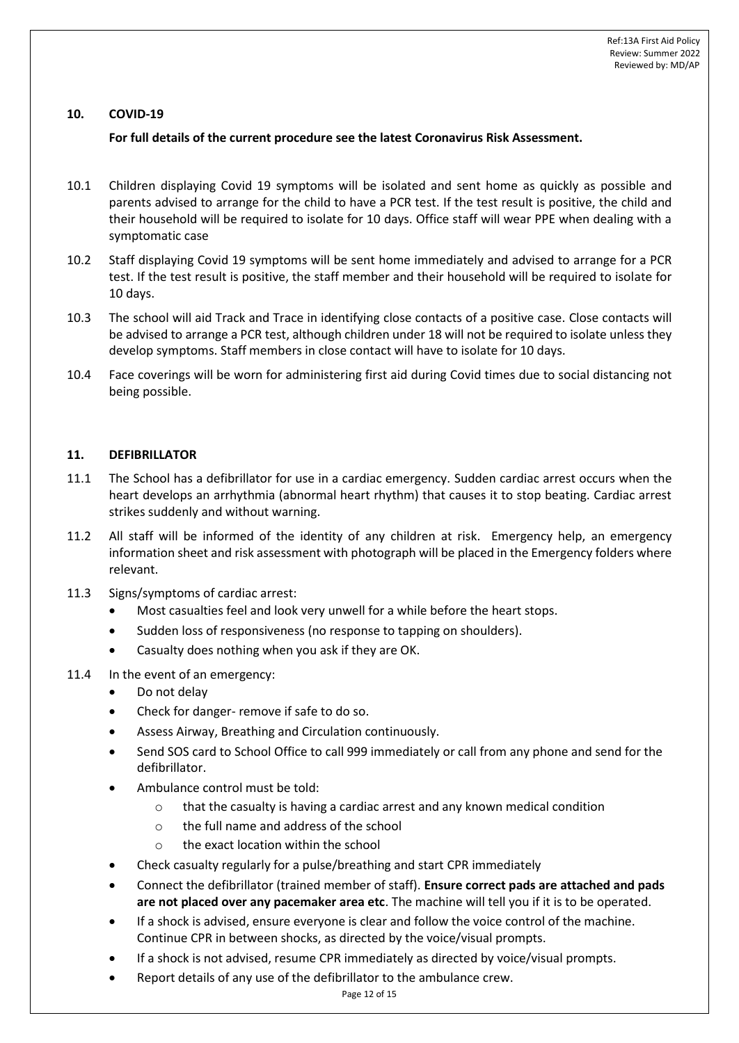### **10. COVID-19**

### **For full details of the current procedure see the latest Coronavirus Risk Assessment.**

- 10.1 Children displaying Covid 19 symptoms will be isolated and sent home as quickly as possible and parents advised to arrange for the child to have a PCR test. If the test result is positive, the child and their household will be required to isolate for 10 days. Office staff will wear PPE when dealing with a symptomatic case
- 10.2 Staff displaying Covid 19 symptoms will be sent home immediately and advised to arrange for a PCR test. If the test result is positive, the staff member and their household will be required to isolate for 10 days.
- 10.3 The school will aid Track and Trace in identifying close contacts of a positive case. Close contacts will be advised to arrange a PCR test, although children under 18 will not be required to isolate unless they develop symptoms. Staff members in close contact will have to isolate for 10 days.
- 10.4 Face coverings will be worn for administering first aid during Covid times due to social distancing not being possible.

### **11. DEFIBRILLATOR**

- 11.1 The School has a defibrillator for use in a cardiac emergency. Sudden cardiac arrest occurs when the heart develops an arrhythmia (abnormal heart rhythm) that causes it to stop beating. Cardiac arrest strikes suddenly and without warning.
- 11.2 All staff will be informed of the identity of any children at risk. Emergency help, an emergency information sheet and risk assessment with photograph will be placed in the Emergency folders where relevant.
- 11.3 Signs/symptoms of cardiac arrest:
	- Most casualties feel and look very unwell for a while before the heart stops.
	- Sudden loss of responsiveness (no response to tapping on shoulders).
	- Casualty does nothing when you ask if they are OK.
- 11.4 In the event of an emergency:
	- Do not delay
	- Check for danger- remove if safe to do so.
	- Assess Airway, Breathing and Circulation continuously.
	- Send SOS card to School Office to call 999 immediately or call from any phone and send for the defibrillator.
	- Ambulance control must be told:
		- $\circ$  that the casualty is having a cardiac arrest and any known medical condition
		- o the full name and address of the school
		- o the exact location within the school
	- Check casualty regularly for a pulse/breathing and start CPR immediately
	- Connect the defibrillator (trained member of staff). **Ensure correct pads are attached and pads are not placed over any pacemaker area etc**. The machine will tell you if it is to be operated.
	- If a shock is advised, ensure everyone is clear and follow the voice control of the machine. Continue CPR in between shocks, as directed by the voice/visual prompts.
	- If a shock is not advised, resume CPR immediately as directed by voice/visual prompts.
	- Report details of any use of the defibrillator to the ambulance crew.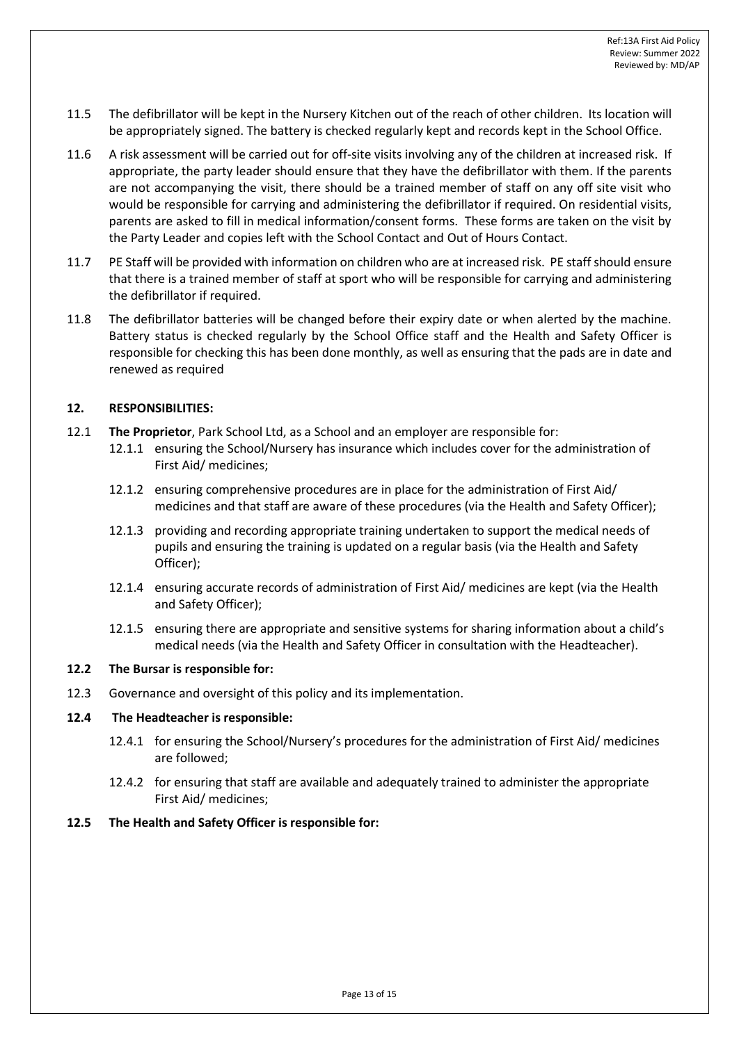- 11.5 The defibrillator will be kept in the Nursery Kitchen out of the reach of other children. Its location will be appropriately signed. The battery is checked regularly kept and records kept in the School Office.
- 11.6 A risk assessment will be carried out for off-site visits involving any of the children at increased risk. If appropriate, the party leader should ensure that they have the defibrillator with them. If the parents are not accompanying the visit, there should be a trained member of staff on any off site visit who would be responsible for carrying and administering the defibrillator if required. On residential visits, parents are asked to fill in medical information/consent forms. These forms are taken on the visit by the Party Leader and copies left with the School Contact and Out of Hours Contact.
- 11.7 PE Staff will be provided with information on children who are at increased risk. PE staff should ensure that there is a trained member of staff at sport who will be responsible for carrying and administering the defibrillator if required.
- 11.8 The defibrillator batteries will be changed before their expiry date or when alerted by the machine. Battery status is checked regularly by the School Office staff and the Health and Safety Officer is responsible for checking this has been done monthly, as well as ensuring that the pads are in date and renewed as required

### **12. RESPONSIBILITIES:**

- 12.1 **The Proprietor**, Park School Ltd, as a School and an employer are responsible for:
	- 12.1.1 ensuring the School/Nursery has insurance which includes cover for the administration of First Aid/ medicines;
	- 12.1.2 ensuring comprehensive procedures are in place for the administration of First Aid/ medicines and that staff are aware of these procedures (via the Health and Safety Officer);
	- 12.1.3 providing and recording appropriate training undertaken to support the medical needs of pupils and ensuring the training is updated on a regular basis (via the Health and Safety Officer);
	- 12.1.4 ensuring accurate records of administration of First Aid/ medicines are kept (via the Health and Safety Officer);
	- 12.1.5 ensuring there are appropriate and sensitive systems for sharing information about a child's medical needs (via the Health and Safety Officer in consultation with the Headteacher).

### **12.2 The Bursar is responsible for:**

12.3 Governance and oversight of this policy and its implementation.

### **12.4 The Headteacher is responsible:**

- 12.4.1 for ensuring the School/Nursery's procedures for the administration of First Aid/ medicines are followed;
- 12.4.2 for ensuring that staff are available and adequately trained to administer the appropriate First Aid/ medicines;
- **12.5 The Health and Safety Officer is responsible for:**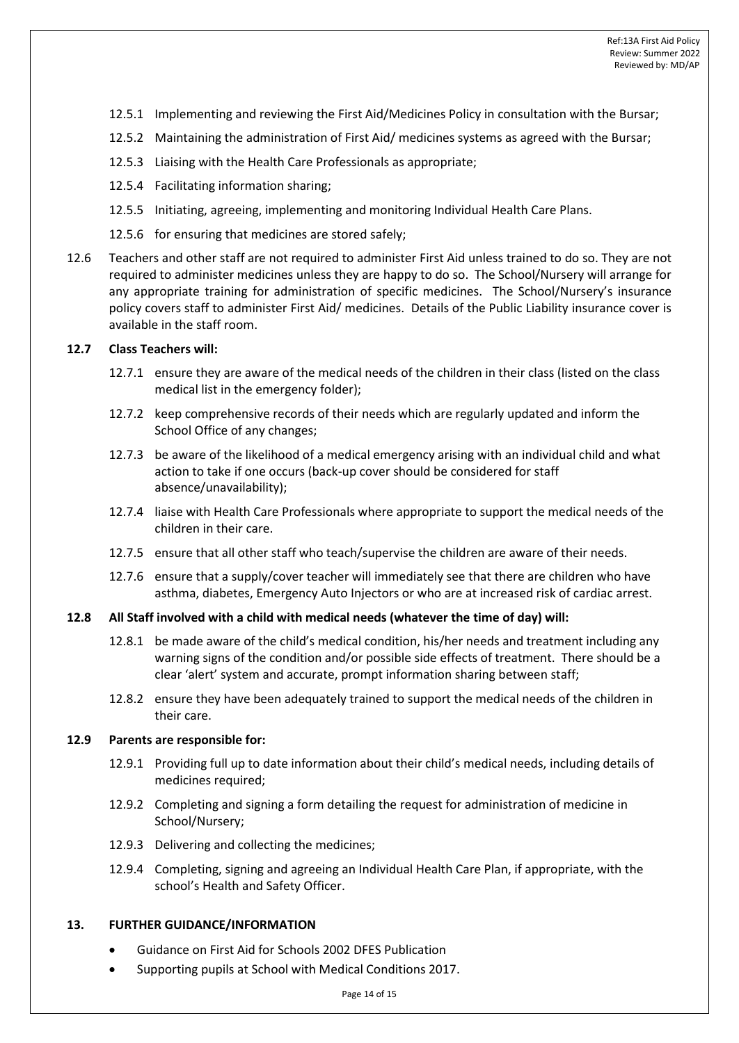- 12.5.1 Implementing and reviewing the First Aid/Medicines Policy in consultation with the Bursar;
- 12.5.2 Maintaining the administration of First Aid/ medicines systems as agreed with the Bursar;
- 12.5.3 Liaising with the Health Care Professionals as appropriate;
- 12.5.4 Facilitating information sharing;
- 12.5.5 Initiating, agreeing, implementing and monitoring Individual Health Care Plans.
- 12.5.6 for ensuring that medicines are stored safely;
- 12.6 Teachers and other staff are not required to administer First Aid unless trained to do so. They are not required to administer medicines unless they are happy to do so. The School/Nursery will arrange for any appropriate training for administration of specific medicines. The School/Nursery's insurance policy covers staff to administer First Aid/ medicines. Details of the Public Liability insurance cover is available in the staff room.

### **12.7 Class Teachers will:**

- 12.7.1 ensure they are aware of the medical needs of the children in their class (listed on the class medical list in the emergency folder);
- 12.7.2 keep comprehensive records of their needs which are regularly updated and inform the School Office of any changes;
- 12.7.3 be aware of the likelihood of a medical emergency arising with an individual child and what action to take if one occurs (back-up cover should be considered for staff absence/unavailability);
- 12.7.4 liaise with Health Care Professionals where appropriate to support the medical needs of the children in their care.
- 12.7.5 ensure that all other staff who teach/supervise the children are aware of their needs.
- 12.7.6 ensure that a supply/cover teacher will immediately see that there are children who have asthma, diabetes, Emergency Auto Injectors or who are at increased risk of cardiac arrest.

#### **12.8 All Staff involved with a child with medical needs (whatever the time of day) will:**

- 12.8.1 be made aware of the child's medical condition, his/her needs and treatment including any warning signs of the condition and/or possible side effects of treatment. There should be a clear 'alert' system and accurate, prompt information sharing between staff;
- 12.8.2 ensure they have been adequately trained to support the medical needs of the children in their care.

#### **12.9 Parents are responsible for:**

- 12.9.1 Providing full up to date information about their child's medical needs, including details of medicines required;
- 12.9.2 Completing and signing a form detailing the request for administration of medicine in School/Nursery;
- 12.9.3 Delivering and collecting the medicines;
- 12.9.4 Completing, signing and agreeing an Individual Health Care Plan, if appropriate, with the school's Health and Safety Officer.

### **13. FURTHER GUIDANCE/INFORMATION**

- Guidance on First Aid for Schools 2002 DFES Publication
- Supporting pupils at School with Medical Conditions 2017.